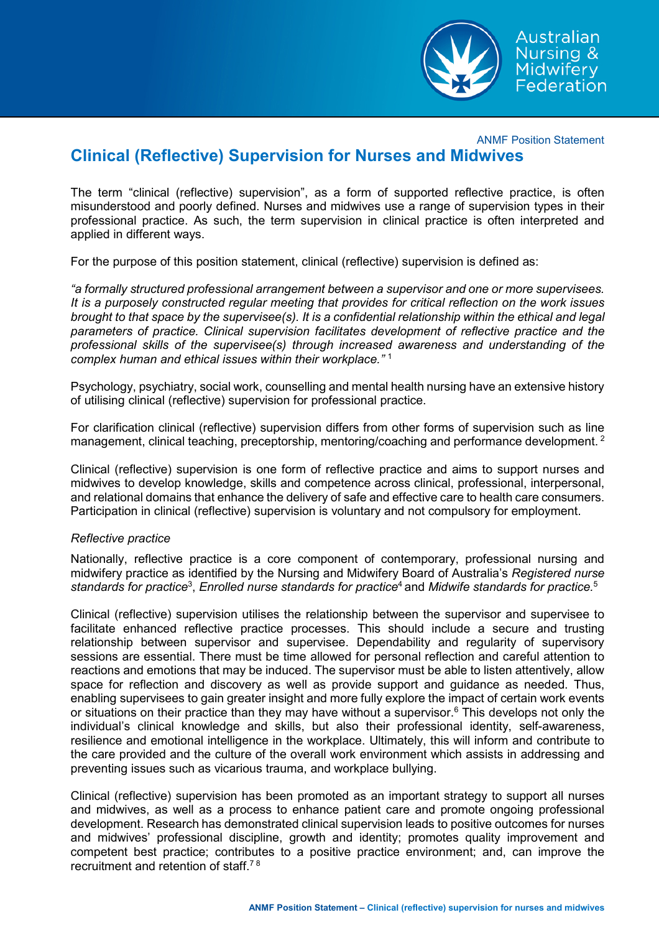

Australian Nursing & Midwifery Federation

ANMF Position Statement

# **Clinical (Reflective) Supervision for Nurses and Midwives**

The term "clinical (reflective) supervision", as a form of supported reflective practice, is often misunderstood and poorly defined. Nurses and midwives use a range of supervision types in their professional practice. As such, the term supervision in clinical practice is often interpreted and applied in different ways.

For the purpose of this position statement, clinical (reflective) supervision is defined as:

*"a formally structured professional arrangement between a supervisor and one or more supervisees. It is a purposely constructed regular meeting that provides for critical reflection on the work issues brought to that space by the supervisee(s). It is a confidential relationship within the ethical and legal parameters of practice. Clinical supervision facilitates development of reflective practice and the professional skills of the supervisee(s) through increased awareness and understanding of the complex human and ethical issues within their workplace."* <sup>1</sup>

Psychology, psychiatry, social work, counselling and mental health nursing have an extensive history of utilising clinical (reflective) supervision for professional practice.

For clarification clinical (reflective) supervision differs from other forms of supervision such as line management, clinical teaching, preceptorship, mentoring/coaching and performance development.<sup>2</sup>

Clinical (reflective) supervision is one form of reflective practice and aims to support nurses and midwives to develop knowledge, skills and competence across clinical, professional, interpersonal, and relational domains that enhance the delivery of safe and effective care to health care consumers. Participation in clinical (reflective) supervision is voluntary and not compulsory for employment.

# *Reflective practice*

Nationally, reflective practice is a core component of contemporary, professional nursing and midwifery practice as identified by the Nursing and Midwifery Board of Australia's *Registered nurse standards for practice*<sup>3</sup> , *Enrolled nurse standards for practice*4 and *Midwife standards for practice.*<sup>5</sup>

Clinical (reflective) supervision utilises the relationship between the supervisor and supervisee to facilitate enhanced reflective practice processes. This should include a secure and trusting relationship between supervisor and supervisee. Dependability and regularity of supervisory sessions are essential. There must be time allowed for personal reflection and careful attention to reactions and emotions that may be induced. The supervisor must be able to listen attentively, allow space for reflection and discovery as well as provide support and guidance as needed. Thus, enabling supervisees to gain greater insight and more fully explore the impact of certain work events or situations on their practice than they may have without a supervisor.<sup>6</sup> This develops not only the individual's clinical knowledge and skills, but also their professional identity, self-awareness, resilience and emotional intelligence in the workplace. Ultimately, this will inform and contribute to the care provided and the culture of the overall work environment which assists in addressing and preventing issues such as vicarious trauma, and workplace bullying.

Clinical (reflective) supervision has been promoted as an important strategy to support all nurses and midwives, as well as a process to enhance patient care and promote ongoing professional development. Research has demonstrated clinical supervision leads to positive outcomes for nurses and midwives' professional discipline, growth and identity; promotes quality improvement and competent best practice; contributes to a positive practice environment; and, can improve the recruitment and retention of staff.7 8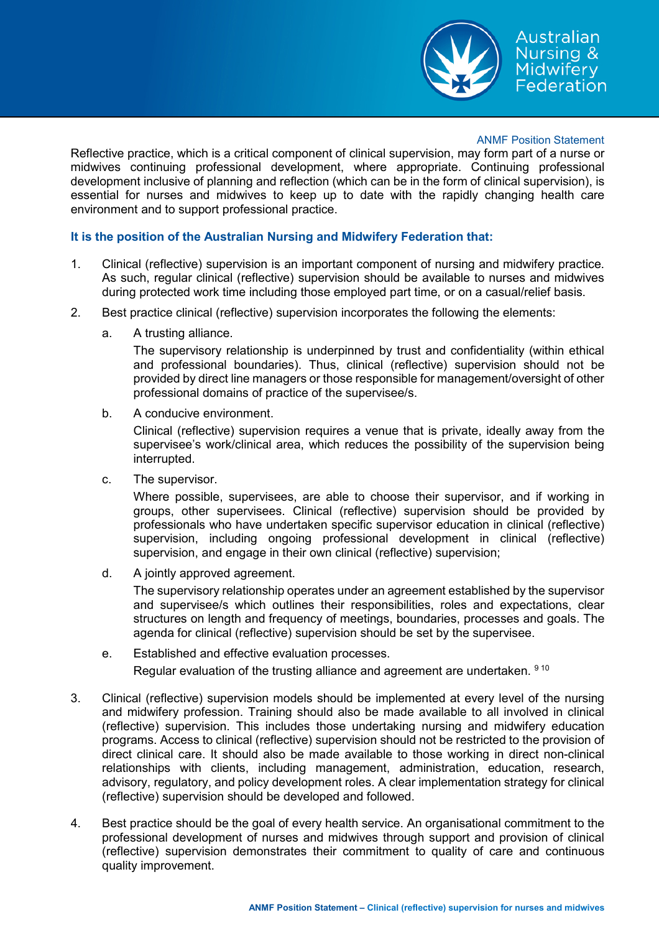

## ANMF Position Statement

Reflective practice, which is a critical component of clinical supervision, may form part of a nurse or midwives continuing professional development, where appropriate. Continuing professional development inclusive of planning and reflection (which can be in the form of clinical supervision), is essential for nurses and midwives to keep up to date with the rapidly changing health care environment and to support professional practice.

## **It is the position of the Australian Nursing and Midwifery Federation that:**

- 1. Clinical (reflective) supervision is an important component of nursing and midwifery practice. As such, regular clinical (reflective) supervision should be available to nurses and midwives during protected work time including those employed part time, or on a casual/relief basis.
- 2. Best practice clinical (reflective) supervision incorporates the following the elements:
	- a. A trusting alliance.

The supervisory relationship is underpinned by trust and confidentiality (within ethical and professional boundaries). Thus, clinical (reflective) supervision should not be provided by direct line managers or those responsible for management/oversight of other professional domains of practice of the supervisee/s.

b. A conducive environment.

Clinical (reflective) supervision requires a venue that is private, ideally away from the supervisee's work/clinical area, which reduces the possibility of the supervision being interrupted.

c. The supervisor.

Where possible, supervisees, are able to choose their supervisor, and if working in groups, other supervisees. Clinical (reflective) supervision should be provided by professionals who have undertaken specific supervisor education in clinical (reflective) supervision, including ongoing professional development in clinical (reflective) supervision, and engage in their own clinical (reflective) supervision;

d. A jointly approved agreement.

The supervisory relationship operates under an agreement established by the supervisor and supervisee/s which outlines their responsibilities, roles and expectations, clear structures on length and frequency of meetings, boundaries, processes and goals. The agenda for clinical (reflective) supervision should be set by the supervisee.

- e. Established and effective evaluation processes. Regular evaluation of the trusting alliance and agreement are undertaken. 9 10
- 3. Clinical (reflective) supervision models should be implemented at every level of the nursing and midwifery profession. Training should also be made available to all involved in clinical (reflective) supervision. This includes those undertaking nursing and midwifery education programs. Access to clinical (reflective) supervision should not be restricted to the provision of direct clinical care. It should also be made available to those working in direct non-clinical relationships with clients, including management, administration, education, research, advisory, regulatory, and policy development roles. A clear implementation strategy for clinical (reflective) supervision should be developed and followed.
- 4. Best practice should be the goal of every health service. An organisational commitment to the professional development of nurses and midwives through support and provision of clinical (reflective) supervision demonstrates their commitment to quality of care and continuous quality improvement.